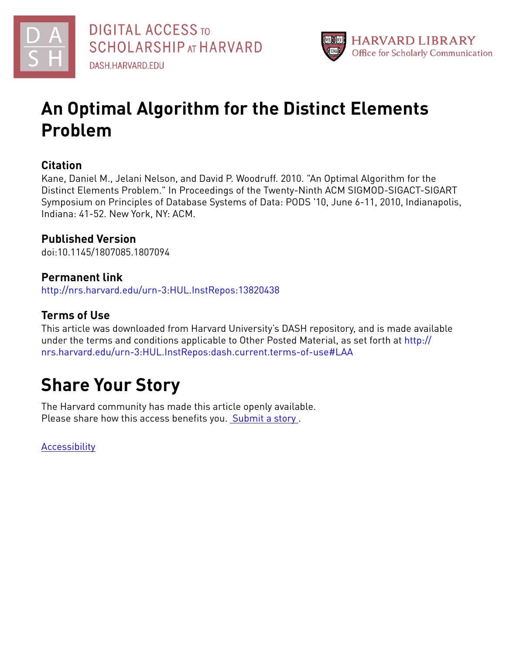



# **An Optimal Algorithm for the Distinct Elements Problem**

# **Citation**

Kane, Daniel M., Jelani Nelson, and David P. Woodruff. 2010. "An Optimal Algorithm for the Distinct Elements Problem." In Proceedings of the Twenty-Ninth ACM SIGMOD-SIGACT-SIGART Symposium on Principles of Database Systems of Data: PODS '10, June 6-11, 2010, Indianapolis, Indiana: 41-52. New York, NY: ACM.

# **Published Version**

doi:10.1145/1807085.1807094

# **Permanent link**

<http://nrs.harvard.edu/urn-3:HUL.InstRepos:13820438>

# **Terms of Use**

This article was downloaded from Harvard University's DASH repository, and is made available under the terms and conditions applicable to Other Posted Material, as set forth at [http://](http://nrs.harvard.edu/urn-3:HUL.InstRepos:dash.current.terms-of-use#LAA) [nrs.harvard.edu/urn-3:HUL.InstRepos:dash.current.terms-of-use#LAA](http://nrs.harvard.edu/urn-3:HUL.InstRepos:dash.current.terms-of-use#LAA)

# **Share Your Story**

The Harvard community has made this article openly available. Please share how this access benefits you. [Submit](http://osc.hul.harvard.edu/dash/open-access-feedback?handle=&title=An%20Optimal%20Algorithm%20for%20the%20Distinct%20Elements%20Problem&community=1/1&collection=1/2&owningCollection1/2&harvardAuthors=6ef3c3d2ed8b8931ccedc9e9b9479618&departmentEngineering%20and%20Applied%20Sciences) a story .

[Accessibility](https://dash.harvard.edu/pages/accessibility)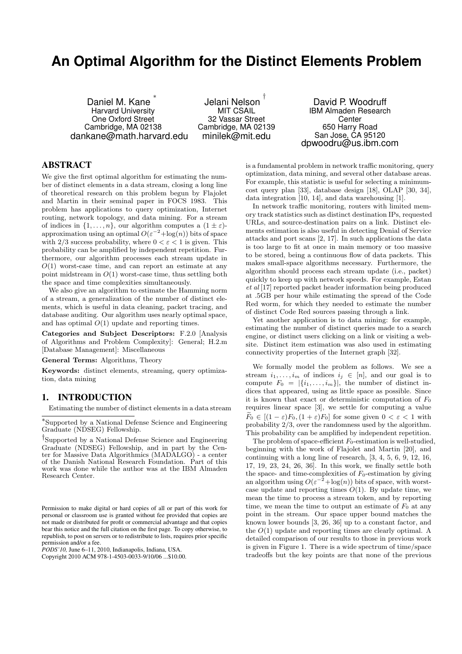# **An Optimal Algorithm for the Distinct Elements Problem**

Daniel M. Kane ∗ Harvard University One Oxford Street Cambridge, MA 02138 dankane@math.harvard.edu

Jelani Nelson † MIT CSAIL 32 Vassar Street Cambridge, MA 02139 minilek@mit.edu

David P. Woodruff IBM Almaden Research **Center** 650 Harry Road San Jose, CA 95120 dpwoodru@us.ibm.com

## ABSTRACT

We give the first optimal algorithm for estimating the number of distinct elements in a data stream, closing a long line of theoretical research on this problem begun by Flajolet and Martin in their seminal paper in FOCS 1983. This problem has applications to query optimization, Internet routing, network topology, and data mining. For a stream of indices in  $\{1, \ldots, n\}$ , our algorithm computes a  $(1 \pm \varepsilon)$ approximation using an optimal  $O(\varepsilon^{-2} + \log(n))$  bits of space with 2/3 success probability, where  $0 < \varepsilon < 1$  is given. This probability can be amplified by independent repetition. Furthermore, our algorithm processes each stream update in  $O(1)$  worst-case time, and can report an estimate at any point midstream in  $O(1)$  worst-case time, thus settling both the space and time complexities simultaneously.

We also give an algorithm to estimate the Hamming norm of a stream, a generalization of the number of distinct elements, which is useful in data cleaning, packet tracing, and database auditing. Our algorithm uses nearly optimal space, and has optimal  $O(1)$  update and reporting times.

Categories and Subject Descriptors: F.2.0 [Analysis of Algorithms and Problem Complexity]: General; H.2.m [Database Management]: Miscellaneous

General Terms: Algorithms, Theory

Keywords: distinct elements, streaming, query optimization, data mining

## 1. INTRODUCTION

Estimating the number of distinct elements in a data stream

† Supported by a National Defense Science and Engineering Graduate (NDSEG) Fellowship, and in part by the Center for Massive Data Algorithmics (MADALGO) - a center of the Danish National Research Foundation. Part of this work was done while the author was at the IBM Almaden Research Center.

*PODS'10,* June 6–11, 2010, Indianapolis, Indiana, USA.

Copyright 2010 ACM 978-1-4503-0033-9/10/06 ...\$10.00.

is a fundamental problem in network traffic monitoring, query optimization, data mining, and several other database areas. For example, this statistic is useful for selecting a minimumcost query plan [33], database design [18], OLAP [30, 34], data integration [10, 14], and data warehousing [1].

In network traffic monitoring, routers with limited memory track statistics such as distinct destination IPs, requested URLs, and source-destination pairs on a link. Distinct elements estimation is also useful in detecting Denial of Service attacks and port scans [2, 17]. In such applications the data is too large to fit at once in main memory or too massive to be stored, being a continuous flow of data packets. This makes small-space algorithms necessary. Furthermore, the algorithm should process each stream update (i.e., packet) quickly to keep up with network speeds. For example, Estan et al [17] reported packet header information being produced at .5GB per hour while estimating the spread of the Code Red worm, for which they needed to estimate the number of distinct Code Red sources passing through a link.

Yet another application is to data mining: for example, estimating the number of distinct queries made to a search engine, or distinct users clicking on a link or visiting a website. Distinct item estimation was also used in estimating connectivity properties of the Internet graph [32].

We formally model the problem as follows. We see a stream  $i_1, \ldots, i_m$  of indices  $i_j \in [n]$ , and our goal is to compute  $F_0 = |\{i_1, \ldots, i_m\}|$ , the number of distinct indices that appeared, using as little space as possible. Since it is known that exact or deterministic computation of  $F_0$ requires linear space [3], we settle for computing a value  $F_0 \in [(1 - \varepsilon)F_0, (1 + \varepsilon)F_0]$  for some given  $0 < \varepsilon < 1$  with probability 2/3, over the randomness used by the algorithm. This probability can be amplified by independent repetition.

The problem of space-efficient  $F_0$ -estimation is well-studied, beginning with the work of Flajolet and Martin [20], and continuing with a long line of research, [3, 4, 5, 6, 9, 12, 16, 17, 19, 23, 24, 26, 36]. In this work, we finally settle both the space- and time-complexities of  $F_0$ -estimation by giving an algorithm using  $O(\varepsilon^{-2} + \log(n))$  bits of space, with worstcase update and reporting times  $O(1)$ . By update time, we mean the time to process a stream token, and by reporting time, we mean the time to output an estimate of  $F_0$  at any point in the stream. Our space upper bound matches the known lower bounds [3, 26, 36] up to a constant factor, and the  $O(1)$  update and reporting times are clearly optimal. A detailed comparison of our results to those in previous work is given in Figure 1. There is a wide spectrum of time/space tradeoffs but the key points are that none of the previous

<sup>∗</sup> Supported by a National Defense Science and Engineering Graduate (NDSEG) Fellowship.

Permission to make digital or hard copies of all or part of this work for personal or classroom use is granted without fee provided that copies are not made or distributed for profit or commercial advantage and that copies bear this notice and the full citation on the first page. To copy otherwise, to republish, to post on servers or to redistribute to lists, requires prior specific permission and/or a fee.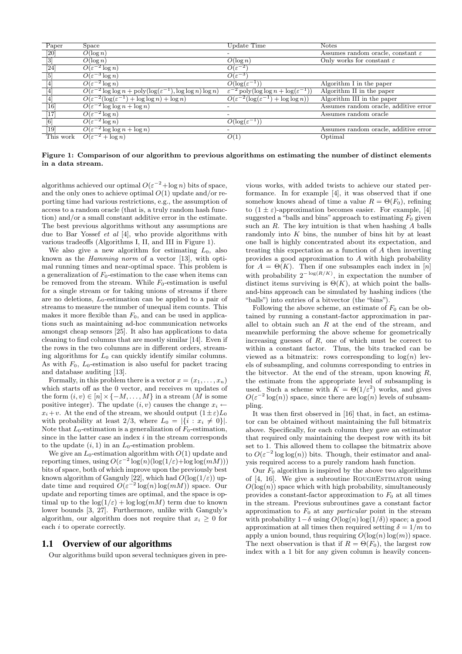| Paper            | Space                                                                                       | Update Time                                                            | <b>Notes</b>                                  |
|------------------|---------------------------------------------------------------------------------------------|------------------------------------------------------------------------|-----------------------------------------------|
| [20]             | $O(\log n)$                                                                                 |                                                                        | Assumes random oracle, constant $\varepsilon$ |
| $\overline{[3]}$ | $O(\log n)$                                                                                 | $\overline{O}(\log n)$                                                 | Only works for constant $\varepsilon$         |
| $[24]$           | $\overline{O(\varepsilon^{-2}\log n)}$                                                      | $O(\varepsilon^{-2})$                                                  |                                               |
| $\boxed{5}$      | $\overline{O(\varepsilon^{-3}\log n)}$                                                      | $O(\varepsilon^{-3})$                                                  |                                               |
| $[4]$            | $\overline{O(\varepsilon^{-2}\log n)}$                                                      | $O(\log(\varepsilon^{-1}))$                                            | Algorithm I in the paper                      |
| $[4]$            | $O(\varepsilon^{-2} \log \log n + \text{poly}(\log(\varepsilon^{-1}), \log \log n) \log n)$ | $\epsilon^{-2}$ poly(log log $n + \log(\epsilon^{-1})$                 | Algorithm II in the paper                     |
| $[4]$            | $\overline{O(\varepsilon^{-2}(\log(\varepsilon^{-1}) + \log \log n) + \log n)}$             | $\overline{O(\varepsilon^{-2}(\log(\varepsilon^{-1}) + \log \log n))}$ | Algorithm III in the paper                    |
| [16]             | $\overline{O(\varepsilon^{-2} \log \log n + \log n)}$                                       |                                                                        | Assumes random oracle, additive error         |
| $[17]$           | $\overline{O(\varepsilon^{-2}}\log n)$                                                      |                                                                        | Assumes random oracle                         |
| [6]              | $\overline{O(\varepsilon^{-2}\log n})$                                                      | $O(\log(\varepsilon^{-1}))$                                            |                                               |
| $[19]$           | $\overline{O(\varepsilon^{-2}\log\log n + \log n)}$                                         |                                                                        | Assumes random oracle, additive error         |
| This work        | $\overline{O(\varepsilon^{-2}} + \log n)$                                                   | O(1)                                                                   | Optimal                                       |

Figure 1: Comparison of our algorithm to previous algorithms on estimating the number of distinct elements in a data stream.

algorithms achieved our optimal  $O(\varepsilon^{-2} + \log n)$  bits of space, and the only ones to achieve optimal  $O(1)$  update and/or reporting time had various restrictions, e.g., the assumption of access to a random oracle (that is, a truly random hash function) and/or a small constant additive error in the estimate. The best previous algorithms without any assumptions are due to Bar Yossef et al [4], who provide algorithms with various tradeoffs (Algorithms I, II, and III in Figure 1).

We also give a new algorithm for estimating  $L_0$ , also known as the Hamming norm of a vector [13], with optimal running times and near-optimal space. This problem is a generalization of  $F_0$ -estimation to the case when items can be removed from the stream. While  $F_0$ -estimation is useful for a single stream or for taking unions of streams if there are no deletions,  $L_0$ -estimation can be applied to a pair of streams to measure the number of unequal item counts. This makes it more flexible than  $F_0$ , and can be used in applications such as maintaining ad-hoc communication networks amongst cheap sensors [25]. It also has applications to data cleaning to find columns that are mostly similar [14]. Even if the rows in the two columns are in different orders, streaming algorithms for  $L_0$  can quickly identify similar columns. As with  $F_0$ ,  $L_0$ -estimation is also useful for packet tracing and database auditing [13].

Formally, in this problem there is a vector  $x = (x_1, \ldots, x_n)$ which starts off as the  $0$  vector, and receives  $m$  updates of the form  $(i, v) \in [n] \times \{-M, \ldots, M\}$  in a stream  $(M$  is some positive integer). The update  $(i, v)$  causes the change  $x_i \leftarrow$  $x_i + v$ . At the end of the stream, we should output  $(1 \pm \varepsilon)L_0$ with probability at least 2/3, where  $L_0 = |\{i : x_i \neq 0\}|$ . Note that  $L_0$ -estimation is a generalization of  $F_0$ -estimation, since in the latter case an index  $i$  in the stream corresponds to the update  $(i, 1)$  in an  $L_0$ -estimation problem.

We give an  $L_0$ -estimation algorithm with  $O(1)$  update and reporting times, using  $O(\varepsilon^{-2} \log(n) (\log(1/\varepsilon) + \log \log(mM)))$ bits of space, both of which improve upon the previously best known algorithm of Ganguly [22], which had  $O(\log(1/\varepsilon))$  update time and required  $O(\varepsilon^{-2} \log(n) \log(mM))$  space. Our update and reporting times are optimal, and the space is optimal up to the  $\log(1/\varepsilon) + \log \log(mM)$  term due to known lower bounds [3, 27]. Furthermore, unlike with Ganguly's algorithm, our algorithm does not require that  $x_i \geq 0$  for each i to operate correctly.

#### 1.1 Overview of our algorithms

Our algorithms build upon several techniques given in pre-

vious works, with added twists to achieve our stated performance. In for example [4], it was observed that if one somehow knows ahead of time a value  $R = \Theta(F_0)$ , refining to  $(1 \pm \varepsilon)$ -approximation becomes easier. For example, [4] suggested a "balls and bins" approach to estimating  $F_0$  given such an  $R$ . The key intuition is that when hashing  $A$  balls randomly into  $K$  bins, the number of bins hit by at least one ball is highly concentrated about its expectation, and treating this expectation as a function of A then inverting provides a good approximation to A with high probability for  $A = \Theta(K)$ . Then if one subsamples each index in [n] with probability  $2^{-\log(R/K)}$ , in expectation the number of distinct items surviving is  $\Theta(K)$ , at which point the ballsand-bins approach can be simulated by hashing indices (the "balls") into entries of a bitvector (the "bins").

Following the above scheme, an estimate of  $F_0$  can be obtained by running a constant-factor approximation in parallel to obtain such an  $R$  at the end of the stream, and meanwhile performing the above scheme for geometrically increasing guesses of  $R$ , one of which must be correct to within a constant factor. Thus, the bits tracked can be viewed as a bitmatrix: rows corresponding to  $log(n)$  levels of subsampling, and columns corresponding to entries in the bitvector. At the end of the stream, upon knowing  $R$ , the estimate from the appropriate level of subsampling is used. Such a scheme with  $K = \Theta(1/\varepsilon^2)$  works, and gives  $O(\varepsilon^{-2} \log(n))$  space, since there are  $\log(n)$  levels of subsampling.

It was then first observed in [16] that, in fact, an estimator can be obtained without maintaining the full bitmatrix above. Specifically, for each column they gave an estimator that required only maintaining the deepest row with its bit set to 1. This allowed them to collapse the bitmatrix above to  $O(\varepsilon^{-2} \log \log(n))$  bits. Though, their estimator and analysis required access to a purely random hash function.

Our  $F_0$  algorithm is inspired by the above two algorithms of  $[4, 16]$ . We give a subroutine ROUGHESTIMATOR using  $O(\log(n))$  space which with high probability, simultaneously provides a constant-factor approximation to  $F_0$  at all times in the stream. Previous subroutines gave a constant factor approximation to  $F_0$  at any *particular* point in the stream with probability  $1-\delta$  using  $O(\log(n) \log(1/\delta))$  space; a good approximation at all times then required setting  $\delta = 1/m$  to apply a union bound, thus requiring  $O(\log(n) \log(m))$  space. The next observation is that if  $R = \Theta(F_0)$ , the largest row index with a 1 bit for any given column is heavily concen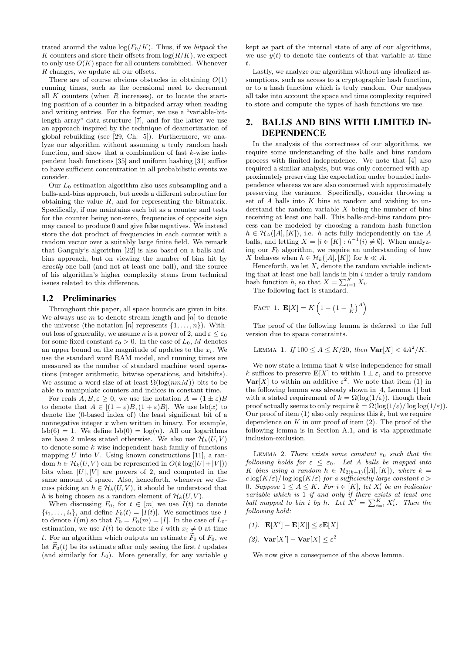trated around the value  $\log(F_0/K)$ . Thus, if we *bitpack* the K counters and store their offsets from  $log(R/K)$ , we expect to only use  $O(K)$  space for all counters combined. Whenever R changes, we update all our offsets.

There are of course obvious obstacles in obtaining  $O(1)$ running times, such as the occasional need to decrement all  $K$  counters (when  $R$  increases), or to locate the starting position of a counter in a bitpacked array when reading and writing entries. For the former, we use a "variable-bitlength array" data structure [7], and for the latter we use an approach inspired by the technique of deamortization of global rebuilding (see [29, Ch. 5]). Furthermore, we analyze our algorithm without assuming a truly random hash function, and show that a combination of fast  $k$ -wise independent hash functions [35] and uniform hashing [31] suffice to have sufficient concentration in all probabilistic events we consider.

Our  $L_0$ -estimation algorithm also uses subsampling and a balls-and-bins approach, but needs a different subroutine for obtaining the value R, and for representing the bitmatrix. Specifically, if one maintains each bit as a counter and tests for the counter being non-zero, frequencies of opposite sign may cancel to produce 0 and give false negatives. We instead store the dot product of frequencies in each counter with a random vector over a suitably large finite field. We remark that Ganguly's algorithm [22] is also based on a balls-andbins approach, but on viewing the number of bins hit by exactly one ball (and not at least one ball), and the source of his algorithm's higher complexity stems from technical issues related to this difference.

#### 1.2 Preliminaries

Throughout this paper, all space bounds are given in bits. We always use  $m$  to denote stream length and  $[n]$  to denote the universe (the notation [n] represents  $\{1, \ldots, n\}$ ). Without loss of generality, we assume *n* is a power of 2, and  $\varepsilon \leq \varepsilon_0$ for some fixed constant  $\varepsilon_0 > 0$ . In the case of  $L_0$ , M denotes an upper bound on the magnitude of updates to the  $x_i$ . We use the standard word RAM model, and running times are measured as the number of standard machine word operations (integer arithmetic, bitwise operations, and bitshifts). We assume a word size of at least  $\Omega(\log(nmM))$  bits to be able to manipulate counters and indices in constant time.

For reals  $A, B, \varepsilon > 0$ , we use the notation  $A = (1 \pm \varepsilon)B$ to denote that  $A \in [(1-\varepsilon)B,(1+\varepsilon)B]$ . We use  $\text{lsb}(x)$  to denote the (0-based index of) the least significant bit of a nonnegative integer  $x$  when written in binary. For example,  $\text{lsb}(6) = 1$ . We define  $\text{lsb}(0) = \log(n)$ . All our logarithms are base 2 unless stated otherwise. We also use  $\mathcal{H}_k(U, V)$ to denote some k-wise independent hash family of functions mapping U into V. Using known constructions [11], a random  $h \in \mathcal{H}_k(U, V)$  can be represented in  $O(k \log(|U| + |V|))$ bits when  $|U|$ ,  $|V|$  are powers of 2, and computed in the same amount of space. Also, henceforth, whenever we discuss picking an  $h \in \mathcal{H}_k(U, V)$ , it should be understood that h is being chosen as a random element of  $\mathcal{H}_k(U, V)$ .

When discussing  $F_0$ , for  $t \in [m]$  we use  $I(t)$  to denote  $\{i_1, \ldots, i_t\}$ , and define  $F_0(t) = |I(t)|$ . We sometimes use I to denote  $I(m)$  so that  $F_0 = F_0(m) = |I|$ . In the case of  $L_0$ estimation, we use  $I(t)$  to denote the i with  $x_i \neq 0$  at time t. For an algorithm which outputs an estimate  $F_0$  of  $F_0$ , we let  $\widetilde{F}_0(t)$  be its estimate after only seeing the first t updates (and similarly for  $L_0$ ). More generally, for any variable y

kept as part of the internal state of any of our algorithms, we use  $y(t)$  to denote the contents of that variable at time t.

Lastly, we analyze our algorithm without any idealized assumptions, such as access to a cryptographic hash function, or to a hash function which is truly random. Our analyses all take into account the space and time complexity required to store and compute the types of hash functions we use.

## 2. BALLS AND BINS WITH LIMITED IN-DEPENDENCE

In the analysis of the correctness of our algorithms, we require some understanding of the balls and bins random process with limited independence. We note that [4] also required a similar analysis, but was only concerned with approximately preserving the expectation under bounded independence whereas we are also concerned with approximately preserving the variance. Specifically, consider throwing a set of  $A$  balls into  $K$  bins at random and wishing to understand the random variable  $X$  being the number of bins receiving at least one ball. This balls-and-bins random process can be modeled by choosing a random hash function  $h \in \mathcal{H}_A([A], [K]),$  i.e. h acts fully independently on the A balls, and letting  $X = |i \in [K] : h^{-1}(i) \neq \emptyset|$ . When analyzing our  $F_0$  algorithm, we require an understanding of how X behaves when  $h \in \mathcal{H}_k([A],[K])$  for  $k \ll A$ .

Henceforth, we let  $X_i$  denote the random variable indicating that at least one ball lands in bin  $i$  under a truly random hash function h, so that  $X = \sum_{i=1}^{K} X_i$ .

The following fact is standard.

FACT 1. 
$$
\mathbf{E}[X] = K\left(1 - \left(1 - \frac{1}{K}\right)^A\right)
$$

The proof of the following lemma is deferred to the full version due to space constraints.

LEMMA 1. If  $100 \le A \le K/20$ , then  $Var[X] < 4A^2/K$ .

We now state a lemma that  $k$ -wise independence for small k suffices to preserve  $\mathbf{E}[X]$  to within  $1 \pm \varepsilon$ , and to preserve **Var**[X] to within an additive  $\varepsilon^2$ . We note that item (1) in the following lemma was already shown in [4, Lemma 1] but with a stated requirement of  $k = \Omega(\log(1/\varepsilon))$ , though their proof actually seems to only require  $k = \Omega(\log(1/\varepsilon)) \log \log(1/\varepsilon)$ . Our proof of item  $(1)$  also only requires this k, but we require dependence on  $K$  in our proof of item  $(2)$ . The proof of the following lemma is in Section A.1, and is via approximate inclusion-exclusion.

LEMMA 2. There exists some constant  $\varepsilon_0$  such that the following holds for  $\varepsilon \leq \varepsilon_0$ . Let A balls be mapped into K bins using a random  $h \in \mathcal{H}_{2(k+1)}([A],[K])$ , where  $k =$  $c \log(K/\varepsilon) / \log \log(K/\varepsilon)$  for a sufficiently large constant  $c >$ 0. Suppose  $1 \leq A \leq K$ . For  $i \in [K]$ , let  $X'_i$  be an indicator variable which is 1 if and only if there exists at least one ball mapped to bin i by h. Let  $X' = \sum_{i=1}^K X'_i$ . Then the following hold:

$$
(1). \ |\mathbf{E}[X'] - \mathbf{E}[X]| \le \varepsilon \mathbf{E}[X]
$$

(2). 
$$
Var[X'] - Var[X] \leq \varepsilon^2
$$

We now give a consequence of the above lemma.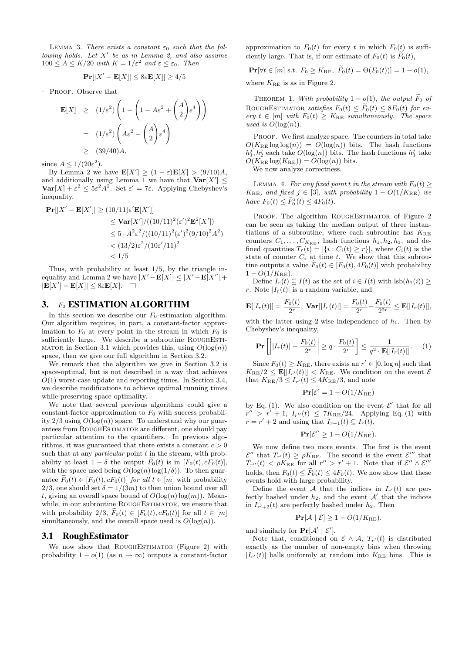LEMMA 3. There exists a constant  $\varepsilon_0$  such that the following holds. Let  $X'$  be as in Lemma 2, and also assume  $100 \leq A \leq K/20$  with  $K = 1/\varepsilon^2$  and  $\varepsilon \leq \varepsilon_0$ . Then

$$
\mathbf{Pr}[|X' - \mathbf{E}[X]| \le 8\varepsilon \mathbf{E}[X]| \ge 4/5
$$

. Proof. Observe that

$$
\mathbf{E}[X] \ge (1/\varepsilon^2) \left( 1 - \left( 1 - A\varepsilon^2 + \binom{A}{2} \varepsilon^4 \right) \right)
$$
  
=  $(1/\varepsilon^2) \left( A\varepsilon^2 - \binom{A}{2} \varepsilon^4 \right)$   
 $\ge (39/40)A,$ 

since  $A \leq 1/(20\varepsilon^2)$ .

By Lemma 2 we have  $\mathbf{E}[X'] \geq (1 - \varepsilon) \mathbf{E}[X] > (9/10)A$ , and additionally using Lemma 1 we have that  $Var[X'] \leq$  $\text{Var}[X] + \varepsilon^2 \leq 5\varepsilon^2 A^2$ . Set  $\varepsilon' = 7\varepsilon$ . Applying Chebyshev's inequality,

$$
\begin{aligned} \mathbf{Pr}[|X' - \mathbf{E}[X']| &\ge (10/11)\varepsilon' \mathbf{E}[X']] \\ &\le \mathbf{Var}[X'] / ((10/11)^2(\varepsilon')^2 \mathbf{E}^2[X']) \\ &\le 5 \cdot A^2 \varepsilon^2 / ((10/11)^2(\varepsilon')^2 (9/10)^2 A^2) \\ &\lt (13/2)\varepsilon^2 / (10\varepsilon'/11)^2 \\ &\lt 1/5 \end{aligned}
$$

Thus, with probability at least 1/5, by the triangle inequality and Lemma 2 we have  $|X' - \mathbf{E}[X]| \leq |X' - \mathbf{E}[X']| +$  $|\mathbf{E}[X'] - \mathbf{E}[X]| \leq 8\varepsilon \mathbf{E}[X].$ 

#### 3. F<sub>0</sub> ESTIMATION ALGORITHM

In this section we describe our  $F_0$ -estimation algorithm. Our algorithm requires, in part, a constant-factor approximation to  $F_0$  at every point in the stream in which  $F_0$  is sufficiently large. We describe a subroutine ROUGHESTI-MATOR in Section 3.1 which provides this, using  $O(\log(n))$ space, then we give our full algorithm in Section 3.2.

We remark that the algorithm we give in Section 3.2 is space-optimal, but is not described in a way that achieves  $O(1)$  worst-case update and reporting times. In Section 3.4, we describe modifications to achieve optimal running times while preserving space-optimality.

We note that several previous algorithms could give a constant-factor approximation to  $F_0$  with success probability  $2/3$  using  $O(log(n))$  space. To understand why our guarantees from ROUGHESTIMATOR are different, one should pay particular attention to the quantifiers. In previous algorithms, it was guaranteed that there exists a constant  $c > 0$ such that at any *particular* point  $t$  in the stream, with probability at least  $1 - \delta$  the output  $\tilde{F}_0(t)$  is in  $[F_0(t), cF_0(t)]$ , with the space used being  $O(\log(n) \log(1/\delta))$ . To then guarantee  $\tilde{F}_0(t) \in [F_0(t), cF_0(t)]$  for all  $t \in [m]$  with probability 2/3, one should set  $\delta = 1/(3m)$  to then union bound over all t, giving an overall space bound of  $O(\log(n) \log(m))$ . Meanwhile, in our subroutine ROUGHESTIMATOR, we ensure that with probability  $2/3$ ,  $\widetilde{F}_0(t) \in [F_0(t), cF_0(t)]$  for all  $t \in [m]$ simultaneously, and the overall space used is  $O(\log(n))$ .

#### 3.1 RoughEstimator

We now show that ROUGHESTIMATOR (Figure 2) with probability  $1 - o(1)$  (as  $n \to \infty$ ) outputs a constant-factor

approximation to  $F_0(t)$  for every t in which  $F_0(t)$  is sufficiently large. That is, if our estimate of  $F_0(t)$  is  $\widetilde{F}_0(t)$ ,

$$
\mathbf{Pr}[\forall t \in [m] \text{ s.t. } F_0 \ge K_{\text{RE}}, \ \widetilde{F}_0(t) = \Theta(F_0(t))] = 1 - o(1),
$$

where  $K_{\text{RE}}$  is as in Figure 2.

THEOREM 1. With probability  $1 - o(1)$ , the output  $\tilde{F}_0$  of ROUGHESTIMATOR satisfies  $F_0(t) \leq \widetilde{F}_0(t) \leq 8F_0(t)$  for every  $t \in [m]$  with  $F_0(t) \geq K_{\text{RE}}$  simultaneously. The space used is  $O(\log(n))$ .

PROOF. We first analyze space. The counters in total take  $O(K_{\text{RE}} \log \log(n)) = O(\log(n))$  bits. The hash functions  $h_1^j, h_2^j$  each take  $O(\log(n))$  bits. The hash functions  $h_3^j$  take  $O(K_{\text{RE}} \log(K_{\text{RE}})) = O(\log(n))$  bits.

We now analyze correctness.

LEMMA 4. For any fixed point t in the stream with  $F_0(t) \ge$  $K_{\text{RE}}$ , and fixed  $j \in [3]$ , with probability  $1 - O(1/K_{\text{RE}})$  we have  $F_0(t) \leq \widetilde{F}_0^j(t) \leq 4F_0(t)$ .

PROOF. The algorithm ROUGHESTIMATOR of Figure 2 can be seen as taking the median output of three instantiations of a subroutine, where each subroutine has  $K_{\text{RE}}$ counters  $C_1, \ldots, C_{K_{\text{RE}}}$ , hash functions  $h_1, h_2, h_3$ , and defined quantities  $T_r(t) = |\{i : C_i(t) \geq r\}|$ , where  $C_i(t)$  is the state of counter  $C_i$  at time t. We show that this subroutine outputs a value  $F_0(t) \in [F_0(t), 4F_0(t)]$  with probability  $1 - O(1/K_{\text{RE}}).$ 

Define  $I_r(t) \subseteq I(t)$  as the set of  $i \in I(t)$  with  $\text{lsb}(h_1(i))$  ≥ r. Note  $|I_r(t)|$  is a random variable, and

$$
\mathbf{E}[|I_r(t)|] = \frac{F_0(t)}{2^r}, \, \mathbf{Var}[|I_r(t)|] = \frac{F_0(t)}{2^r} - \frac{F_0(t)}{2^{2r}} \le \mathbf{E}[|I_r(t)|],
$$

with the latter using 2-wise independence of  $h_1$ . Then by Chebyshev's inequality,

$$
\mathbf{Pr}\left[\left||I_r(t)| - \frac{F_0(t)}{2^r}\right| \ge q \cdot \frac{F_0(t)}{2^r}\right] \le \frac{1}{q^2 \cdot \mathbf{E}[|I_r(t)|]}.\tag{1}
$$

Since  $F_0(t) \geq K_{\text{RE}}$ , there exists an  $r' \in [0, \log n]$  such that  $K_{\text{RE}}/2 \leq \mathbf{E} [|I_{r'}(t)|] < K_{\text{RE}}$ . We condition on the event  $\mathcal{E}$ that  $K_{\text{RE}}/3 \leq I_{r'}(t) \leq 4K_{\text{RE}}/3$ , and note

$$
\mathbf{Pr}[\mathcal{E}] = 1 - O(1/K_{\text{RE}})
$$

by Eq. (1). We also condition on the event  $\mathcal{E}'$  that for all  $r'' > r' + 1$ ,  $I_{r''}(t) \leq 7K_{RE}/24$ . Applying Eq. (1) with  $r = r' + 2$  and using that  $I_{r+1}(t) \subseteq I_r(t)$ ,

$$
\mathbf{Pr}[\mathcal{E}'] \ge 1 - O(1/K_{\text{RE}}).
$$

We now define two more events. The first is the event  $\mathcal{E}''$  that  $T_{r'}(t) \geq \rho K_{\text{RE}}$ . The second is the event  $\mathcal{E}'''$  that  $T_{r''}(t) < \rho K_{\text{RE}}$  for all  $r'' > r' + 1$ . Note that if  $\mathcal{E}'' \wedge \mathcal{E}'''$ holds, then  $F_0(t) \leq \dot{F}_0(t) \leq 4F_0(t)$ . We now show that these events hold with large probability.

Define the event A that the indices in  $I_{r'}(t)$  are perfectly hashed under  $h_2$ , and the event  $A'$  that the indices in  $I_{r'+2}(t)$  are perfectly hashed under  $h_2$ . Then

$$
\Pr[\mathcal{A} \mid \mathcal{E}] \ge 1 - O(1/K_{\text{RE}}).
$$

and similarly for  $Pr[\mathcal{A}' | \mathcal{E}']$ .

Note that, conditioned on  $\mathcal{E} \wedge \mathcal{A}$ ,  $T_{r'}(t)$  is distributed exactly as the number of non-empty bins when throwing  $|I_{r'}(t)|$  balls uniformly at random into  $K_{\text{RE}}$  bins. This is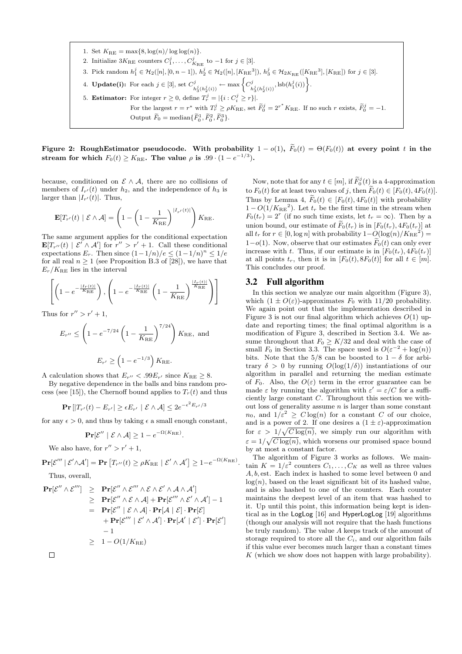1. Set  $K_{\text{RE}} = \max\{8, \log(n) / \log \log(n)\}.$ 2. Initialize  $3K_{\text{RE}}$  counters  $C_1^j, \ldots, C_{K_{\text{RE}}}^j$  to  $-1$  for  $j \in [3]$ . 3. Pick random  $h_1^j \in \mathcal{H}_2([n], [0, n-1]), h_2^j \in \mathcal{H}_2([n], [K_{\text{RE}}^3]), h_3^j \in \mathcal{H}_{2K_{\text{RE}}}([K_{\text{RE}}^3], [K_{\text{RE}}])$  for  $j \in [3]$ . 4. **Update(i):** For each  $j \in [3]$ , set  $C_j^j$ .  $\sum_{h_3^j(h_2^j(i))}^j \leftarrow \max \left\{ C_h^j \right\}$  $\left\{ \begin{matrix} h_2^j(h_2^j(i)) \end{matrix}, \operatorname{lsb}(h_1^j(i)) \right\}.$ 5. **Estimator:** For integer  $r \geq 0$ , define  $T_r^j = |\{i : C_i^j \geq r\}|$ . For the largest  $r = r^*$  with  $T_r^j \ge \rho K_{\text{RE}}$ , set  $\widetilde{F}_0^j = 2^{r^*} K_{\text{RE}}$ . If no such r exists,  $\widetilde{F}_0^j = -1$ . Output  $\widetilde{F}_0 = \text{median}\{\widetilde{F}_0^1, \widetilde{F}_0^2, \widetilde{F}_0^3\}.$ 

Figure 2: RoughEstimator pseudocode. With probability  $1-o(1)$ ,  $\widetilde{F}_0(t) = \Theta(F_0(t))$  at every point t in the stream for which  $F_0(t) \geq K_\mathrm{RE}$ . The value  $\rho$  is .99 ·  $(1-e^{-1/3})$ .

because, conditioned on  $\mathcal{E} \wedge \mathcal{A}$ , there are no collisions of members of  $I_{r'}(t)$  under  $h_2$ , and the independence of  $h_3$  is larger than  $|I_{r'}(t)|$ . Thus,

$$
\mathbf{E}[T_{r'}(t) | \mathcal{E} \wedge \mathcal{A}] = \left(1 - \left(1 - \frac{1}{K_{\mathrm{RE}}}\right)^{|I_{r'}(t)|}\right)K_{\mathrm{RE}}.
$$

The same argument applies for the conditional expectation  $\mathbf{E}[T_{r''}(t) | \mathcal{E}' \wedge \mathcal{A}']$  for  $r'' > r' + 1$ . Call these conditional expectations  $E_r$ . Then since  $(1-1/n)/e \leq (1-1/n)^n \leq 1/e$ for all real  $n \geq 1$  (see Proposition B.3 of [28]), we have that  $E_r/K_{\text{RE}}$  lies in the interval

$$
\left[ \left( 1 - e^{-\frac{|I_r(t)|}{K_{\text{RE}}}} \right), \left( 1 - e^{-\frac{|I_r(t)|}{K_{\text{RE}}}} \left( 1 - \frac{1}{K_{\text{RE}}} \right)^{\frac{|I_r(t)|}{K_{\text{RE}}}} \right) \right]
$$

Thus for  $r'' > r' + 1$ ,

$$
E_{r''} \le \left(1 - e^{-7/24} \left(1 - \frac{1}{K_{\text{RE}}}\right)^{7/24}\right) K_{\text{RE}}, \text{ and}
$$
  
 $E_{r'} \ge \left(1 - e^{-1/3}\right) K_{\text{RE}}.$ 

A calculation shows that  $E_{r''}$  < .99 $E_{r'}$  since  $K_{\text{RE}} \geq 8$ .

By negative dependence in the balls and bins random process (see [15]), the Chernoff bound applies to  $T_r(t)$  and thus

$$
\mathbf{Pr}\left[\left|T_{r'}(t) - E_{r'}\right| \ge \epsilon E_{r'} \mid \mathcal{E} \wedge \mathcal{A}\right] \le 2e^{-\epsilon^2 E_{r'}/3}
$$

for any  $\epsilon > 0$ , and thus by taking  $\epsilon$  a small enough constant,

$$
\mathbf{Pr}[\mathcal{E}'' \mid \mathcal{E} \land \mathcal{A}] \ge 1 - e^{-\Omega(K_{\text{RE}})}.
$$

We also have, for  $r'' > r' + 1$ ,

$$
\mathbf{Pr}[\mathcal{E}'''\mid \mathcal{E}' \wedge \mathcal{A}'] = \mathbf{Pr}\left[T_{r''}(t) \ge \rho K_{\text{RE}} \mid \mathcal{E}' \wedge \mathcal{A}'\right] \ge 1 - e^{-\Omega(K_{\text{RE}})}.
$$

Thus, overall,

$$
\begin{array}{rcl}\n\mathbf{Pr}[\mathcal{E}'' \wedge \mathcal{E}'''] & \geq & \mathbf{Pr}[\mathcal{E}'' \wedge \mathcal{E}'' \wedge \mathcal{E} \wedge \mathcal{E}' \wedge \mathcal{A} \wedge \mathcal{A}'] \\
& \geq & \mathbf{Pr}[\mathcal{E}'' \wedge \mathcal{E} \wedge \mathcal{A}] + \mathbf{Pr}[\mathcal{E}'' \wedge \mathcal{E}' \wedge \mathcal{A}'] - 1 \\
& = & \mathbf{Pr}[\mathcal{E}'' \mid \mathcal{E} \wedge \mathcal{A}] \cdot \mathbf{Pr}[\mathcal{A} \mid \mathcal{E}] \cdot \mathbf{Pr}[\mathcal{E}] \\
& & \quad + \mathbf{Pr}[\mathcal{E}''' \mid \mathcal{E}' \wedge \mathcal{A}'] \cdot \mathbf{Pr}[\mathcal{A}' \mid \mathcal{E}'] \cdot \mathbf{Pr}[\mathcal{E}'] \\
& & \quad -1 \\
& \geq & 1 - O(1/K_{\mathrm{RE}})\n\end{array}
$$

 $\Box$ 

Now, note that for any  $t \in [m]$ , if  $\widetilde{F}_0^j(t)$  is a 4-approximation to  $F_0(t)$  for at least two values of j, then  $\widetilde{F}_0(t) \in [F_0(t), 4F_0(t)]$ . Thus by Lemma 4,  $\widetilde{F}_0(t) \in [F_0(t), 4F_0(t)]$  with probability  $1 - O(1/K_{\text{RE}}^2)$ . Let  $t_r$  be the first time in the stream when  $F_0(t_r) = 2^r$  (if no such time exists, let  $t_r = \infty$ ). Then by a union bound, our estimate of  $\widetilde{F}_0(t_r)$  is in  $[F_0(t_r), 4F_0(t_r)]$  at all  $t_r$  for  $r \in [0, \log n]$  with probability  $1-O(\log(n)/K_{\text{RE}}^2)$  $1-\varrho(1)$ . Now, observe that our estimates  $\widetilde{F}_0(t)$  can only ever increase with t. Thus, if our estimate is in  $[F_0(t_r), 4F_0(t_r)]$ at all points  $t_r$ , then it is in  $[F_0(t), 8F_0(t)]$  for all  $t \in [m]$ . This concludes our proof.

#### 3.2 Full algorithm

In this section we analyze our main algorithm (Figure 3), which  $(1 \pm O(\varepsilon))$ -approximates  $F_0$  with 11/20 probability. We again point out that the implementation described in Figure 3 is not our final algorithm which achieves  $O(1)$  update and reporting times; the final optimal algorithm is a modification of Figure 3, described in Section 3.4. We assume throughout that  $F_0 \geq K/32$  and deal with the case of small  $F_0$  in Section 3.3. The space used is  $O(\varepsilon^{-2} + \log(n))$ bits. Note that the  $5/8$  can be boosted to  $1 - \delta$  for arbitrary  $\delta > 0$  by running  $O(\log(1/\delta))$  instantiations of our algorithm in parallel and returning the median estimate of  $F_0$ . Also, the  $O(\varepsilon)$  term in the error guarantee can be made  $\varepsilon$  by running the algorithm with  $\varepsilon' = \varepsilon / C$  for a sufficiently large constant C. Throughout this section we without loss of generality assume  $n$  is larger than some constant  $n_0$ , and  $1/\varepsilon^2 \geq C \log(n)$  for a constant C of our choice, and is a power of 2. If one desires a  $(1 \pm \varepsilon)$ -approximation for  $\varepsilon > 1/\sqrt{C \log(n)}$ , we simply run our algorithm with  $\varepsilon = 1/\sqrt{C \log(n)}$ , which worsens our promised space bound by at most a constant factor.

The algorithm of Figure 3 works as follows. We maintain  $K = 1/\varepsilon^2$  counters  $C_1, \ldots, C_K$  as well as three values A, b, est. Each index is hashed to some level between 0 and  $log(n)$ , based on the least significant bit of its hashed value, and is also hashed to one of the counters. Each counter maintains the deepest level of an item that was hashed to it. Up until this point, this information being kept is identical as in the LogLog [16] and HyperLogLog [19] algorithms (though our analysis will not require that the hash functions be truly random). The value A keeps track of the amount of storage required to store all the  $C_i$ , and our algorithm fails if this value ever becomes much larger than a constant times  $K$  (which we show does not happen with large probability).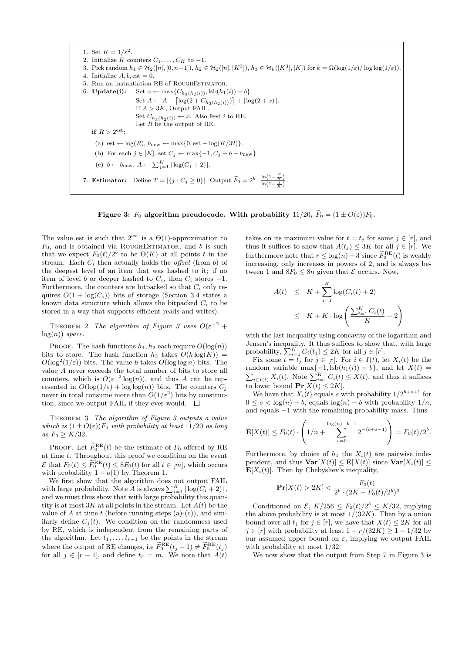

Figure 3:  $F_0$  algorithm pseudocode. With probability 11/20,  $\widetilde{F}_0 = (1 \pm O(\varepsilon))F_0$ .

The value est is such that  $2^{\text{est}}$  is a  $\Theta(1)$ -approximation to  $F_0$ , and is obtained via ROUGHESTIMATOR, and b is such that we expect  $F_0(t)/2^b$  to be  $\Theta(K)$  at all points t in the stream. Each  $C_i$  then actually holds the *offset* (from b) of the deepest level of an item that was hashed to it; if no item of level b or deeper hashed to  $C_i$ , then  $C_i$  stores  $-1$ . Furthermore, the counters are bitpacked so that  $C_i$  only requires  $O(1 + \log(C_i))$  bits of storage (Section 3.4 states a known data structure which allows the bitpacked  $C_i$  to be stored in a way that supports efficient reads and writes).

THEOREM 2. The algorithm of Figure 3 uses  $O(\varepsilon^{-2} +$  $log(n)$  space.

PROOF. The hash functions  $h_1, h_2$  each require  $O(\log(n))$ bits to store. The hash function  $h_3$  takes  $O(k \log(K))$  =  $O(\log^2(1/\varepsilon))$  bits. The value b takes  $O(\log \log n)$  bits. The value A never exceeds the total number of bits to store all counters, which is  $O(\varepsilon^{-2} \log(n))$ , and thus A can be represented in  $O(\log(1/\varepsilon) + \log \log(n))$  bits. The counters  $C_i$ never in total consume more than  $O(1/\varepsilon^2)$  bits by construction, since we output FAIL if they ever would.  $\square$ 

THEOREM 3. The algorithm of Figure 3 outputs a value which is  $(1 \pm O(\varepsilon))F_0$  with probability at least  $11/20$  as long as  $F_0 \geq K/32$ .

PROOF. Let  $\widetilde{F}_0^{\text{RE}}(t)$  be the estimate of  $F_0$  offered by RE at time t. Throughout this proof we condition on the event  $\mathcal{E}$  that  $F_0(t) \leq \widetilde{F}_0^{\text{RE}}(t) \leq 8F_0(t)$  for all  $t \in [m]$ , which occurs with probability  $1 - o(1)$  by Theorem 1.

We first show that the algorithm does not output FAIL with large probability. Note  $\tilde{A}$  is always  $\sum_{i=1}^{K} \lceil \log(C_i + 2) \rceil$ , and we must thus show that with large probability this quantity is at most  $3K$  at all points in the stream. Let  $A(t)$  be the value of A at time t (before running steps  $(a)-(c)$ ), and similarly define  $C_j(t)$ . We condition on the randomness used by RE, which is independent from the remaining parts of the algorithm. Let  $t_1, \ldots, t_{r-1}$  be the points in the stream where the output of RE changes, i.e  $\widetilde{F}_0^{\text{RE}}(t_j - 1) \neq \widetilde{F}_0^{\text{RE}}(t_j)$ for all  $j \in [r-1]$ , and define  $t_r = m$ . We note that  $A(t)$ 

takes on its maximum value for  $t = t_j$  for some  $j \in [r]$ , and thus it suffices to show that  $A(t_j) \leq 3K$  for all  $j \in [r]$ . We furthermore note that  $r \leq \log(n) + 3$  since  $\widetilde{F}_0^{\text{RE}}(t)$  is weakly increasing, only increases in powers of 2, and is always between 1 and  $8F_0 \leq 8n$  given that  $\mathcal E$  occurs. Now,

$$
A(t) \leq K + \sum_{i=1}^{K} \log(C_i(t) + 2)
$$
  

$$
\leq K + K \cdot \log\left(\frac{\sum_{i=1}^{K} C_i(t)}{K} + 2\right)
$$

with the last inequality using concavity of the logarithm and Jensen's inequality. It thus suffices to show that, with large probability,  $\sum_{i=1}^{K} C_i(t_j) \leq 2K$  for all  $j \in [r]$ .

Fix some  $\overline{t} = t_j$  for  $j \in [r]$ . For  $i \in I(t)$ , let  $X_i(t)$  be the random variable max P  ${-1, \text{lsb}(h_1(i)) - b}, \text{ and let } X(t) =$  $\sum_{i\in I(t)} X_i(t)$ . Note  $\sum_{i=1}^K C_i(t) \le X(t)$ , and thus it suffices to lower bound  $Pr[X(t) \leq 2K]$ .

We have that  $X_i(t)$  equals s with probability  $1/2^{b+s+1}$  for  $0 \leq s < \log(n) - b$ , equals  $\log(n) - b$  with probability  $1/n$ , and equals −1 with the remaining probability mass. Thus

$$
\mathbf{E}[X(t)] \le F_0(t) \cdot \left(1/n + \sum_{s=0}^{\log(n)-b-1} 2^{-(b+s+1)}\right) = F_0(t)/2^b.
$$

Furthermore, by choice of  $h_1$  the  $X_i(t)$  are pairwise independent, and thus  $\text{Var}[X(t)] \leq \mathbf{E}[X(t)]$  since  $\text{Var}[X_i(t)] \leq$  $\mathbf{E}[X_i(t)]$ . Then by Chebyshev's inequality,

$$
\mathbf{Pr}[X(t) > 2K] < \frac{F_0(t)}{2^b \cdot (2K - F_0(t)/2^b)^2}
$$

Conditioned on  $\mathcal{E}, K/256 \leq F_0(t)/2^b \leq K/32$ , implying the above probability is at most  $1/(32K)$ . Then by a union bound over all  $t_j$  for  $j \in [r]$ , we have that  $X(t) \leq 2K$  for all  $j \in [r]$  with probability at least  $1 - r/(32K) \geq 1 - 1/32$  by our assumed upper bound on  $\varepsilon$ , implying we output FAIL with probability at most 1/32.

We now show that the output from Step 7 in Figure 3 is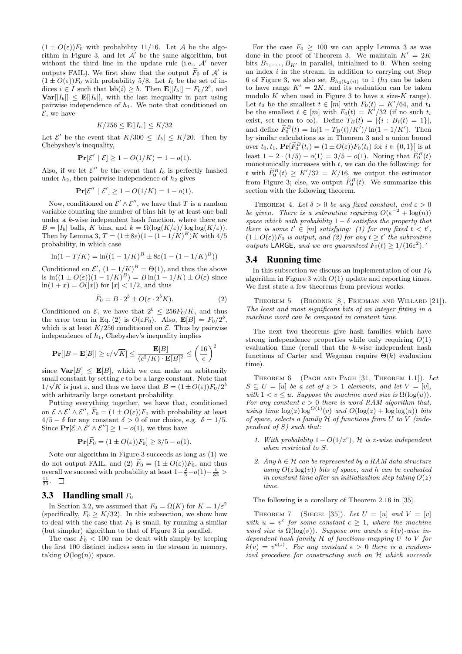$(1 \pm O(\varepsilon))F_0$  with probability 11/16. Let A be the algorithm in Figure 3, and let  $A'$  be the same algorithm, but without the third line in the update rule (i.e.,  $A'$  never outputs FAIL). We first show that the output  $\widetilde{F}_0$  of  $\mathcal{A}'$  is  $(1 \pm O(\varepsilon))F_0$  with probability 5/8. Let  $I_b$  be the set of indices  $i \in I$  such that  $\text{lsb}(i) \geq b$ . Then  $\mathbf{E}[|I_b|] = F_0/2^b$ , and  $\textbf{Var}[|I_b|] \leq \textbf{E}[|I_b|]$ , with the last inequality in part using pairwise independence of  $h_1$ . We note that conditioned on  $\mathcal{E}$ , we have

$$
K/256 \le \mathbf{E}[|I_b|] \le K/32
$$

Let  $\mathcal{E}'$  be the event that  $K/300 \leq |I_b| \leq K/20$ . Then by Chebyshev's inequality,

$$
\mathbf{Pr}[\mathcal{E}' \mid \mathcal{E}] \ge 1 - O(1/K) = 1 - o(1).
$$

Also, if we let  $\mathcal{E}''$  be the event that  $I_b$  is perfectly hashed under  $h_2$ , then pairwise independence of  $h_2$  gives

$$
\Pr[\mathcal{E}'' \mid \mathcal{E}'] \ge 1 - O(1/K) = 1 - o(1).
$$

Now, conditioned on  $\mathcal{E}' \wedge \mathcal{E}''$ , we have that T is a random variable counting the number of bins hit by at least one ball under a k-wise independent hash function, where there are  $B = |I_b|$  balls, K bins, and  $k = \Omega(\log(K/\varepsilon)) \log(\log(K/\varepsilon)).$ Then by Lemma 3,  $T = (1 \pm 8\varepsilon)(1 - (1 - 1/K)^B)K$  with  $4/5$ probability, in which case

$$
\ln(1 - T/K) = \ln((1 - 1/K)^{B} \pm 8\varepsilon(1 - (1 - 1/K)^{B}))
$$

Conditioned on  $\mathcal{E}'$ ,  $(1 - 1/K)^B = \Theta(1)$ , and thus the above is  $\ln((1 \pm O(\varepsilon))(1 - 1/K)^B) = B \ln(1 - 1/K) \pm O(\varepsilon)$  since  $ln(1 + x) = O(|x|)$  for  $|x| < 1/2$ , and thus

$$
\widetilde{F}_0 = B \cdot 2^b \pm O(\varepsilon \cdot 2^b K). \tag{2}
$$

Conditioned on  $\mathcal{E}$ , we have that  $2^b \leq 256F_0/K$ , and thus the error term in Eq. (2) is  $O(\varepsilon F_0)$ . Also,  $\mathbf{E}[B] = F_0/2^b$ , which is at least  $K/256$  conditioned on  $\mathcal E$ . Thus by pairwise independence of  $h_1$ , Chebyshev's inequality implies

$$
\mathbf{Pr}[|B - \mathbf{E}[B]| \ge c/\sqrt{K}] \le \frac{\mathbf{E}[B]}{(c^2/K) \cdot \mathbf{E}[B]^2} \le \left(\frac{16}{c}\right)^2
$$

since  $\text{Var}[B] \leq \mathbf{E}[B]$ , which we can make an arbitrarily small constant by setting c to be a large constant. Note that  $1/\sqrt{K}$  is just  $\varepsilon$ , and thus we have that  $B = (1 \pm O(\varepsilon))F_0/2^b$ with arbitrarily large constant probability.

Putting everything together, we have that, conditioned on  $\mathcal{E} \wedge \mathcal{E}' \wedge \mathcal{E}''$ ,  $\widetilde{F}_0 = (1 \pm O(\varepsilon))F_0$  with probability at least  $4/5 - \delta$  for any constant  $\delta > 0$  of our choice, e.g.  $\delta = 1/5$ . Since  $\mathbf{Pr}[\mathcal{E} \wedge \mathcal{E}' \wedge \mathcal{E}''] \ge 1 - o(1)$ , we thus have

$$
\Pr[\widetilde{F}_0 = (1 \pm O(\varepsilon))F_0] \ge 3/5 - o(1).
$$

Note our algorithm in Figure 3 succeeds as long as (1) we do not output FAIL, and (2)  $\widetilde{F}_0 = (1 \pm O(\varepsilon))F_0$ , and thus overall we succeed with probability at least  $1-\frac{2}{5}-o(1)-\frac{1}{32}$  $\frac{11}{20}$ .

#### 3.3 Handling small  $F_0$

In Section 3.2, we assumed that  $F_0 = \Omega(K)$  for  $K = 1/\varepsilon^2$ (specifically,  $F_0 \geq K/32$ ). In this subsection, we show how to deal with the case that  $F_0$  is small, by running a similar (but simpler) algorithm to that of Figure 3 in parallel.

The case  $F_0 < 100$  can be dealt with simply by keeping the first 100 distinct indices seen in the stream in memory, taking  $O(\log(n))$  space.

For the case  $F_0 \geq 100$  we can apply Lemma 3 as was done in the proof of Theorem 3. We maintain  $K' = 2K$ bits  $B_1, \ldots, B_{K'}$  in parallel, initialized to 0. When seeing an index  $i$  in the stream, in addition to carrying out Step 6 of Figure 3, we also set  $B_{h_3(h_2(i))}$  to 1 (h<sub>3</sub> can be taken to have range  $K' = 2K$ , and its evaluation can be taken modulo  $K$  when used in Figure 3 to have a size- $K$  range). Let  $t_0$  be the smallest  $t \in [m]$  with  $F_0(t) = K'/64$ , and  $t_1$ be the smallest  $t \in [m]$  with  $F_0(t) = K'/32$  (if no such  $t_i$ exist, set them to  $\infty$ ). Define  $T_B(t) = |\{i : B_i(t) = 1\}|$ , and define  $\widetilde{F}_0^B(t) = \ln(1 - T_B(t)/K')/\ln(1 - 1/K')$ . Then by similar calculations as in Theorem 3 and a union bound over  $t_0, t_1$ ,  $\mathbf{Pr}[\widetilde{F}_0^B(t_i) = (1 \pm O(\varepsilon))F_0(t_i)$  for  $i \in \{0, 1\}]$  is at least  $1 - 2 \cdot (1/5) - o(1) = 3/5 - o(1)$ . Noting that  $\widetilde{F}_0^B(t)$ monotonically increases with  $t$ , we can do the following: for t with  $\widetilde{F}_0^B(t) \geq K'/32 = K/16$ , we output the estimator from Figure 3; else, we output  $\widetilde{F}_0^B(t)$ . We summarize this section with the following theorem.

THEOREM 4. Let  $\delta > 0$  be any fixed constant, and  $\varepsilon > 0$ be given. There is a subroutine requiring  $O(\varepsilon^{-2} + \log(n))$ space which with probability  $1 - \delta$  satisfies the property that there is some  $t' \in [m]$  satisfying: (1) for any fixed  $t < t'$ ,  $(1 \pm O(\varepsilon))F_0$  is output, and (2) for any  $t \ge t'$  the subroutine outputs LARGE, and we are guaranteed  $F_0(t) \geq 1/(16\varepsilon^2)$ .

#### 3.4 Running time

In this subsection we discuss an implementation of our  $F_0$ algorithm in Figure 3 with  $O(1)$  update and reporting times. We first state a few theorems from previous works.

THEOREM 5 (BRODNIK [8], FREDMAN AND WILLARD [21]). The least and most significant bits of an integer fitting in a machine word can be computed in constant time.

The next two theorems give hash families which have strong independence properties while only requiring  $O(1)$ evaluation time (recall that the k-wise independent hash functions of Carter and Wegman require  $\Theta(k)$  evaluation time).

Theorem 6 (Pagh and Pagh [31, Theorem 1.1]). Let  $S \subseteq U = [u]$  be a set of  $z > 1$  elements, and let  $V = [v]$ , with  $1 < v \leq u$ . Suppose the machine word size is  $\Omega(\log(u))$ . For any constant  $c > 0$  there is word RAM algorithm that, using time  $\log(z) \log^{O(1)}(v)$  and  $O(\log(z) + \log \log(u))$  bits of space, selects a family  $H$  of functions from  $U$  to  $V$  (independent of  $S$ ) such that:

- 1. With probability  $1 O(1/z^c)$ , H is z-wise independent when restricted to S.
- 2. Any  $h \in \mathcal{H}$  can be represented by a RAM data structure using  $O(z \log(v))$  bits of space, and h can be evaluated in constant time after an initialization step taking  $O(z)$ time.

The following is a corollary of Theorem 2.16 in [35].

THEOREM 7 (SIEGEL [35]). Let  $U = [u]$  and  $V = [v]$ with  $u = v^c$  for some constant  $c \geq 1$ , where the machine word size is  $\Omega(\log(v))$ . Suppose one wants a k(v)-wise independent hash family  $H$  of functions mapping  $U$  to  $V$  for  $k(v) = v^{o(1)}$ . For any constant  $\epsilon > 0$  there is a randomized procedure for constructing such an H which succeeds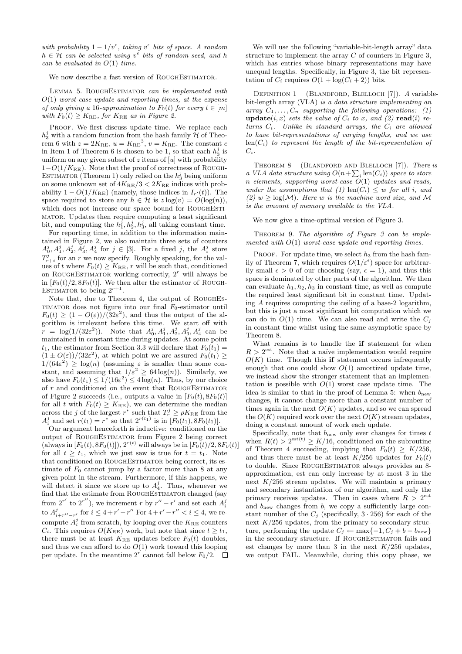with probability  $1 - 1/v^{\epsilon}$ , taking  $v^{\epsilon}$  bits of space. A random  $h \in \mathcal{H}$  can be selected using  $v^{\epsilon}$  bits of random seed, and h can be evaluated in  $O(1)$  time.

#### We now describe a fast version of ROUGHESTIMATOR.

LEMMA 5. ROUGHESTIMATOR can be implemented with  $O(1)$  worst-case update and reporting times, at the expense of only giving a 16-approximation to  $F_0(t)$  for every  $t \in [m]$ with  $F_0(t) \geq K_{\text{RE}}$ , for  $K_{\text{RE}}$  as in Figure 2.

PROOF. We first discuss update time. We replace each  $h_3^j$  with a random function from the hash family  $\mathcal H$  of Theorem 6 with  $z = 2K_{\text{RE}}$ ,  $u = K_{\text{RE}}^3$ ,  $v = K_{\text{RE}}$ . The constant c in Item 1 of Theorem 6 is chosen to be 1, so that each  $h_3^j$  is uniform on any given subset of z items of  $[u]$  with probability  $1-O(1/K_{\text{BE}})$ . Note that the proof of correctness of ROUGH-ESTIMATOR (Theorem 1) only relied on the  $h_3^j$  being uniform on some unknown set of  $4K_{\text{RE}}/3 < 2K_{\text{RE}}$  indices with probability  $1 - O(1/K_{\text{RE}})$  (namely, those indices in  $I_{r'}(t)$ ). The space required to store any  $h \in \mathcal{H}$  is  $z \log(v) = O(\log(n)),$ which does not increase our space bound for ROUGHESTImator. Updates then require computing a least significant bit, and computing the  $h_1^j, h_2^j, h_3^j$ , all taking constant time.

For reporting time, in addition to the information maintained in Figure 2, we also maintain three sets of counters  $A_0^j, A_1^j, A_2^j, \tilde{A}_3^j, A_4^j$  for  $j \in [3]$ . For a fixed j, the  $A_i^j$  store  $T_{r+i}^j$  for an r we now specify. Roughly speaking, for the values of t where  $F_0(t) \geq K_{\text{RE}}$ , r will be such that, conditioned on ROUGHESTIMATOR working correctly,  $2<sup>r</sup>$  will always be in  $[F_0(t)/2, 8F_0(t)]$ . We then alter the estimator of ROUGH-ESTIMATOR to being  $2^{r+1}$ .

Note that, due to Theorem 4, the output of RoughEs-TIMATOR does not figure into our final  $F_0$ -estimator until  $F_0(t) \geq (1 - O(\varepsilon))/(32\varepsilon^2)$ , and thus the output of the algorithm is irrelevant before this time. We start off with  $\tilde{r} = \log(1/(32\varepsilon^2)).$  Note that  $A_0^j, A_1^j, A_2^j, A_3^j, A_4^j$  can be maintained in constant time during updates. At some point  $t_1$ , the estimator from Section 3.3 will declare that  $F_0(t_1) =$  $(1 \pm O(\varepsilon))/(32\varepsilon^2)$ , at which point we are assured  $F_0(t_1) \geq$  $1/(64\varepsilon^2) \geq \log(n)$  (assuming  $\varepsilon$  is smaller than some constant, and assuming that  $1/\bar{\varepsilon}^2 \geq 64 \log(n)$ . Similarly, we also have  $F_0(t_1) \leq 1/(16\varepsilon^2) \leq 4 \log(n)$ . Thus, by our choice of  $r$  and conditioned on the event that ROUGHESTIMATOR of Figure 2 succeeds (i.e., outputs a value in  $[F_0(t), 8F_0(t)]$ for all t with  $F_0(t) \geq K_{\text{RE}}$ , we can determine the median across the j of the largest  $r^*$  such that  $T_r^j \ge \rho K_{\text{RE}}$  from the  $A_i^j$  and set  $r(t_1) = r^*$  so that  $2^{r(t_1)}$  is in  $[F_0(t_1), 8F_0(t_1)].$ 

Our argument henceforth is inductive: conditioned on the output of ROUGHESTIMATOR from Figure 2 being correct (always in  $[F_0(t), 8F_0(t)]$ ),  $2^{r(t)}$  will always be in  $[F_0(t)/2, 8F_0(t)]$ for all  $t \geq t_1$ , which we just saw is true for  $t = t_1$ . Note that conditioned on ROUGHESTIMATOR being correct, its estimate of  $F_0$  cannot jump by a factor more than 8 at any given point in the stream. Furthermore, if this happens, we will detect it since we store up to  $A_4^j$ . Thus, whenever we find that the estimate from ROUGHESTIMATOR changed (say from  $2^{r'}$  to  $2^{r''}$ ), we increment r by  $r'' - r'$  and set each  $A_i^j$ to  $A_{i+r''-r'}^{j}$  for  $i \leq 4+r'-r''$  For  $4+r'-r'' < i \leq 4$ , we recompute  $A_i^j$  from scratch, by looping over the  $K_{\text{RE}}$  counters  $C_i$ . This requires  $O(K_{\text{RE}})$  work, but note that since  $t \geq t_1$ , there must be at least  $K_{\text{RE}}$  updates before  $F_0(t)$  doubles, and thus we can afford to do  $O(1)$  work toward this looping per update. In the meantime  $2^r$  cannot fall below  $F_0/2$ .

We will use the following "variable-bit-length array" data structure to implement the array  $C$  of counters in Figure 3, which has entries whose binary representations may have unequal lengths. Specifically, in Figure 3, the bit representation of  $C_i$  requires  $O(1 + \log(C_i + 2))$  bits.

DEFINITION 1 (BLANDFORD, BLELLOCH [7]). A variablebit-length array (VLA) is a data structure implementing an array  $C_1, \ldots, C_n$  supporting the following operations: (1) update $(i, x)$  sets the value of  $C_i$  to x, and  $(2)$  read $(i)$  returns  $C_i$ . Unlike in standard arrays, the  $C_i$  are allowed to have bit-representations of varying lengths, and we use  $\text{len}(C_i)$  to represent the length of the bit-representation of  $C_i$ .

THEOREM 8 (BLANDFORD AND BLELLOCH [7]). There is a VLA data structure using  $O(n+\sum_i \text{len}(C_i))$  space to store  $n$  elements, supporting worst-case  $O(1)$  updates and reads, under the assumptions that (1)  $\text{len}(C_i) \leq w$  for all i, and (2)  $w > log(M)$ . Here w is the machine word size, and M is the amount of memory available to the VLA.

We now give a time-optimal version of Figure 3.

THEOREM 9. The algorithm of Figure  $\beta$  can be implemented with  $O(1)$  worst-case update and reporting times.

PROOF. For update time, we select  $h_3$  from the hash family of Theorem 7, which requires  $O(1/\varepsilon^{\epsilon})$  space for arbitrarily small  $\epsilon > 0$  of our choosing (say,  $\epsilon = 1$ ), and thus this space is dominated by other parts of the algorithm. We then can evaluate  $h_1, h_2, h_3$  in constant time, as well as compute the required least significant bit in constant time. Updating  $A$  requires computing the ceiling of a base-2 logarithm. but this is just a most significant bit computation which we can do in  $O(1)$  time. We can also read and write the  $C_i$ in constant time whilst using the same asymptotic space by Theorem 8.

What remains is to handle the if statement for when  $R > 2<sup>est</sup>$ . Note that a naïve implementation would require  $O(K)$  time. Though this if statement occurs infrequently enough that one could show  $O(1)$  amortized update time, we instead show the stronger statement that an implementation is possible with  $O(1)$  worst case update time. The idea is similar to that in the proof of Lemma 5: when  $b<sub>new</sub>$ changes, it cannot change more than a constant number of times again in the next  $O(K)$  updates, and so we can spread the  $O(K)$  required work over the next  $O(K)$  stream updates, doing a constant amount of work each update.

Specifically, note that  $b_{\text{new}}$  only ever changes for times t when  $R(t) > 2^{\text{est}(t)} \geq K/16$ , conditioned on the subroutine of Theorem 4 succeeding, implying that  $F_0(t) \geq K/256$ , and thus there must be at least  $K/256$  updates for  $F_0(t)$ to double. Since ROUGHESTIMATOR always provides an 8approximation, est can only increase by at most 3 in the next  $K/256$  stream updates. We will maintain a primary and secondary instantiation of our algorithm, and only the primary receives updates. Then in cases where  $R > 2^{\text{est}}$ and  $b_{\text{new}}$  changes from b, we copy a sufficiently large constant number of the  $C_i$  (specifically,  $3 \cdot 256$ ) for each of the next  $K/256$  updates, from the primary to secondary structure, performing the update  $C_i \leftarrow \max\{-1, C_j + b - b_{\text{new}}\}$ in the secondary structure. If ROUGHESTIMATOR fails and est changes by more than 3 in the next  $K/256$  updates, we output FAIL. Meanwhile, during this copy phase, we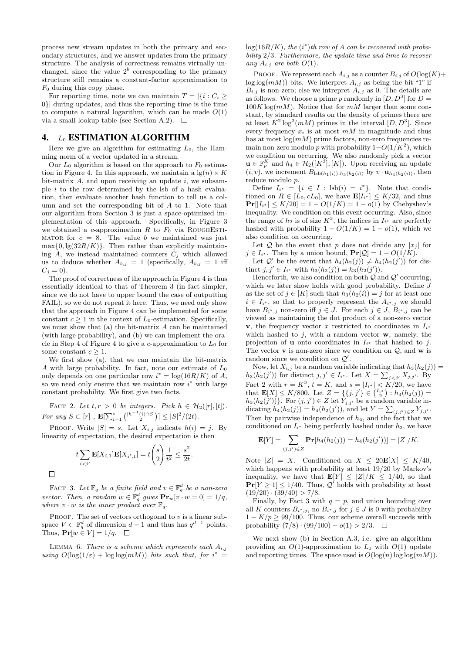process new stream updates in both the primary and secondary structures, and we answer updates from the primary structure. The analysis of correctness remains virtually unchanged, since the value  $2^b$  corresponding to the primary structure still remains a constant-factor approximation to  $F_0$  during this copy phase.

For reporting time, note we can maintain  $T = |\{i : C_i >$ 0}| during updates, and thus the reporting time is the time to compute a natural logarithm, which can be made  $O(1)$ via a small lookup table (see Section A.2).  $\Box$ 

### 4. L<sup>0</sup> ESTIMATION ALGORITHM

Here we give an algorithm for estimating  $L_0$ , the Hamming norm of a vector updated in a stream.

Our  $L_0$  algorithm is based on the approach to  $F_0$  estimation in Figure 4. In this approach, we maintain a  $\lg(n) \times K$ bit-matrix  $A$ , and upon receiving an update  $i$ , we subsample  $i$  to the row determined by the lsb of a hash evaluation, then evaluate another hash function to tell us a column and set the corresponding bit of A to 1. Note that our algorithm from Section 3 is just a space-optimized implementation of this approach. Specifically, in Figure 3 we obtained a c-approximation  $R$  to  $F_0$  via ROUGHESTI-MATOR for  $c = 8$ . The value b we maintained was just  $\max\{0, \lg(32R/K)\}\.$  Then rather than explicitly maintaining A, we instead maintained counters  $C_i$  which allowed us to deduce whether  $A_{b,j} = 1$  (specifically,  $A_{b,j} = 1$  iff  $C_j = 0$ ).

The proof of correctness of the approach in Figure 4 is thus essentially identical to that of Theorem 3 (in fact simpler, since we do not have to upper bound the case of outputting FAIL), so we do not repeat it here. Thus, we need only show that the approach in Figure 4 can be implemented for some constant  $c \geq 1$  in the context of  $L_0$ -estimation. Specifically, we must show that  $(a)$  the bit-matrix  $A$  can be maintained (with large probability), and (b) we can implement the oracle in Step 4 of Figure 4 to give a c-approximation to  $L_0$  for some constant  $c \geq 1$ .

We first show (a), that we can maintain the bit-matrix A with large probability. In fact, note our estimate of  $L_0$ only depends on one particular row  $i^* = \log(16R/K)$  of A, so we need only ensure that we maintain row  $i^*$  with large constant probability. We first give two facts.

FACT 2. Let  $t, r > 0$  be integers. Pick  $h \in H_2([r], [t])$ . For any  $S \subset [r]$ ,  $\mathbf{E}[\sum_{i=1}^{s} { |h^{-1}(i) \cap S| \choose 2} ] \leq |S|^2/(2t)$ .

PROOF. Write  $|S| = s$ . Let  $X_{i,j}$  indicate  $h(i) = j$ . By linearity of expectation, the desired expectation is then

$$
t\sum_{i
$$

 $\Box$ 

FACT 3. Let  $\mathbb{F}_q$  be a finite field and  $v \in \mathbb{F}_q^d$  be a non-zero vector. Then, a random  $w \in \mathbb{F}_q^d$  gives  $\mathbf{Pr}_w[v \cdot w = 0] = 1/q$ , where  $v \cdot w$  is the inner product over  $\mathbb{F}_q$ .

PROOF. The set of vectors orthogonal to  $v$  is a linear subspace  $V \subset \mathbb{F}_q^d$  of dimension  $d-1$  and thus has  $q^{d-1}$  points. Thus,  $\Pr[w \in V] = 1/q$ .  $\Box$ 

LEMMA 6. There is a scheme which represents each  $A_{i,j}$ using  $O(\log(1/\varepsilon) + \log \log(mM))$  bits such that, for  $i^* =$   $log(16R/K)$ , the  $(i^*)$ th row of A can be recovered with probability 2/3. Furthermore, the update time and time to recover any  $A_{i,j}$  are both  $O(1)$ .

PROOF. We represent each  $A_{i,j}$  as a counter  $B_{i,j}$  of  $O(log(K))$ +  $\log \log(mM)$ ) bits. We interpret  $A_{i,j}$  as being the bit "1" if  $B_{i,j}$  is non-zero; else we intrepret  $A_{i,j}$  as 0. The details are as follows. We choose a prime p randomly in  $[D, D^3]$  for  $D =$  $100K \log(mM)$ . Notice that for  $mM$  larger than some constant, by standard results on the density of primes there are at least  $K^2 \log^2(mM)$  primes in the interval  $[D, D^3]$ . Since every frequency  $x_i$  is at most  $mM$  in magnitude and thus has at most  $log(mM)$  prime factors, non-zero frequencies remain non-zero modulo p with probability  $1-O(1/K^2)$ , which we condition on occurring. We also randomly pick a vector  $\mathbf{u} \in \mathbb{F}_p^K$  and  $h_4 \in \mathcal{H}_2([K^3],[K])$ . Upon receiving an update  $(i, v)$ , we increment  $B_{\text{lsb}(h_1(i)),h_3(h_2(i))}$  by  $v \cdot \mathbf{u}_{h_4(h_2(i))}$ , then reduce modulo p.

Define  $I_{i^*} = \{i \in I : \text{lsb}(i) = i^*\}.$  Note that conditioned on  $R \in [L_0, cL_0]$ , we have  $\mathbf{E}[I_{i^*}] \leq K/32$ , and thus  $Pr[|I_{i^*}| \leq K/20] = 1 - O(1/K) = 1 - o(1)$  by Chebyshev's inequality. We condition on this event occurring. Also, since the range of  $h_2$  is of size  $K^3$ , the indices in  $I_{i^*}$  are perfectly hashed with probability  $1 - O(1/K) = 1 - o(1)$ , which we also condition on occurring.

Let Q be the event that p does not divide any  $|x_i|$  for  $j \in I_{i^*}$ . Then by a union bound,  $Pr[\mathcal{Q}] = 1 - O(1/K)$ .

Let  $\mathcal{Q}'$  be the event that  $h_4(h_2(j)) \neq h_4(h_2(j'))$  for distinct  $j, j' \in I_{i^*}$  with  $h_3(h_2(j)) = h_3(h_2(j')).$ 

Henceforth, we also condition on both  $Q$  and  $Q'$  occurring, which we later show holds with good probability. Define  $J$ as the set of  $j \in [K]$  such that  $h_3(h_2(i)) = j$  for at least one  $i \in I_{i^*}$ , so that to properly represent the  $A_{i^*,j}$  we should have  $B_{i^*,j}$  non-zero iff  $j \in J$ . For each  $j \in J$ ,  $B_{i^*,j}$  can be viewed as maintaining the dot product of a non-zero vector v, the frequency vector x restricted to coordinates in  $I_{i^*}$ which hashed to  $j$ , with a random vector  $\mathbf{w}$ , namely, the projection of **u** onto coordinates in  $I_{i^*}$  that hashed to j. The vector  $\bf{v}$  is non-zero since we condition on  $\mathcal{Q}$ , and  $\bf{w}$  is random since we condition on  $\mathcal{Q}'$ .

Now, let  $X_{i,j}$  be a random variable indicating that  $h_3(h_2(j)) =$  $h_3(h_2(j'))$  for distinct  $j, j' \in I_{i^*}$ . Let  $X = \sum_{j < j'} X_{j,j'}$ . By Fact 2 with  $r = K^3$ ,  $t = K$ , and  $s = |I_{i^*}| < K/20$ , we have that  $\mathbf{E}[X] \leq K/800$ . Let  $Z = \{\{j, j'\} \in \binom{I_{i^*}}{2} : h_3(h_2(j)) =$  $h_3(h_2(j'))\}$ . For  $(j, j') \in Z$  let  $Y_{j, j'}$  be a random variable indicating  $h_4(h_2(j)) = h_4(h_2(j'))$ , and let  $Y = \sum_{(j,j') \in Z} Y_{j,j'}$ . Then by pairwise independence of  $h_4$ , and the fact that we conditioned on  $I_{i^*}$  being perfectly hashed under  $h_2$ , we have

$$
\mathbf{E}[Y] = \sum_{(j,j') \in Z} \mathbf{Pr}[h_4(h_2(j)) = h_4(h_2(j'))] = |Z|/K.
$$

Note  $|Z| = X$ . Conditioned on  $X \leq 20E[X] \leq K/40$ , which happens with probability at least 19/20 by Markov's inequality, we have that  $\mathbf{E}[Y] \leq |Z|/K \leq 1/40$ , so that  $Pr[Y \ge 1] \le 1/40$ . Thus,  $Q'$  holds with probability at least  $(19/20) \cdot (39/40) > 7/8.$ 

Finally, by Fact 3 with  $q = p$ , and union bounding over all K counters  $B_{i^*,j}$ , no  $B_{i^*,j}$  for  $j \in J$  is 0 with probability  $1 - K/p \geq 99/100$ . Thus, our scheme overall succeeds with probability  $(7/8) \cdot (99/100) - o(1) > 2/3$ .  $\Box$ 

We next show (b) in Section A.3, i.e. give an algorithm providing an  $O(1)$ -approximation to  $L_0$  with  $O(1)$  update and reporting times. The space used is  $O(\log(n) \log \log(mM))$ .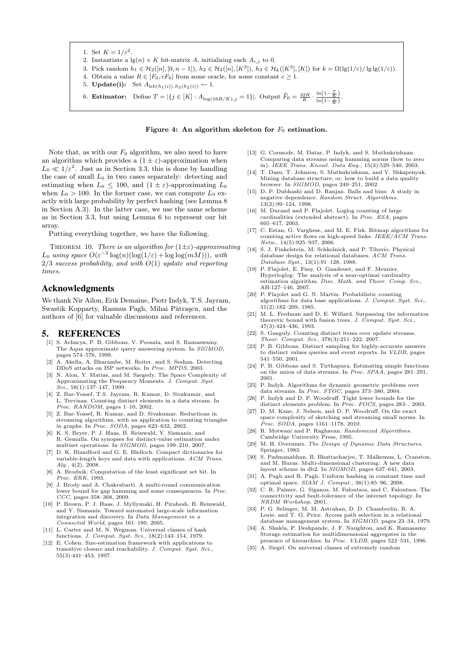1. Set  $K = 1/\varepsilon^2$ . 2. Instantiate a  $\lg(n) \times K$  bit-matrix A, initializing each  $A_{i,j}$  to 0. 3. Pick random  $h_1 \in H_2([n], [0, n-1]), h_2 \in H_2([n], [K^3]), h_3 \in H_k([K^3], [K])$  for  $k = \Omega(\lg(1/\varepsilon)/\lg\lg(1/\varepsilon))$ . 4. Obtain a value  $R \in [F_0, cF_0]$  from some oracle, for some constant  $c \geq 1$ . 5. **Update(i):** Set  $A_{\text{lsb}(h_1(i)),h_3(h_2(i))} \leftarrow 1$ . 6. **Estimator:** Define  $T = |\{j \in [K] : A_{\log(16R/K), j} = 1\}|$ . Output  $\widetilde{F}_0 = \frac{32R}{K} \cdot \frac{\ln(1 - \frac{T}{K})}{\ln(1 - \frac{1}{K})}$ .

#### Figure 4: An algorithm skeleton for  $F_0$  estimation.

Note that, as with our  $F_0$  algorithm, we also need to have an algorithm which provides a  $(1 \pm \varepsilon)$ -approximation when  $L_0 \ll 1/\varepsilon^2$ . Just as in Section 3.3, this is done by handling the case of small  $L_0$  in two cases separately: detecting and estimating when  $L_0 \leq 100$ , and  $(1 \pm \varepsilon)$ -approximating  $L_0$ when  $L_0 > 100$ . In the former case, we can compute  $L_0$  exactly with large probability by perfect hashing (see Lemma 8 in Section A.3). In the latter case, we use the same scheme as in Section 3.3, but using Lemma 6 to represent our bit array.

Putting everything together, we have the following.

THEOREM 10. There is an algorithm for  $(1\pm\varepsilon)$ -approximating  $L_0$  using space  $O(\varepsilon^{-2} \log(n) (\log(1/\varepsilon) + \log \log(mM)))$ , with  $2/3$  success probability, and with  $O(1)$  update and reporting times.

#### Acknowledgments

We thank Nir Ailon, Erik Demaine, Piotr Indyk, T.S. Jayram, Swastik Kopparty, Rasmus Pagh, Mihai Pătrașcu, and the authors of [6] for valuable discussions and references.

#### 5. REFERENCES

- [1] S. Acharya, P. B. Gibbons, V. Poosala, and S. Ramaswamy. The Aqua approximate query answering system. In SIGMOD, pages 574–576, 1999.
- [2] A. Akella, A. Bharambe, M. Reiter, and S. Seshan. Detecting DDoS attacks on ISP networks. In Proc. MPDS, 2003.
- [3] N. Alon, Y. Matias, and M. Szegedy. The Space Complexity of Approximating the Frequency Moments. J. Comput. Syst.<br>Sci., 58(1):137-147, 1999.  $Sci., 58(1):137$
- [4] Z. Bar-Yossef, T.S. Jayram, R. Kumar, D. Sivakumar, and L. Trevisan. Counting distinct elements in a data stream. In Proc. RANDOM, pages 1–10, 2002.
- [5] Z. Bar-Yossef, R. Kumar, and D. Sivakumar. Reductions in streaming algorithms, with an application to counting triangles in graphs. In Proc. SODA, pages 623–632, 2002.
- [6] K. S. Beyer, P. J. Haas, B. Reinwald, Y. Sismanis, and R. Gemulla. On synopses for distinct-value estimation under multiset operations. In SIGMOD, pages 199-210, 2007.
- [7] D. K. Blandford and G. E. Blelloch. Compact dictionaries for variable-length keys and data with applications. ACM Trans.  $Alq., 4(2), 2008.$
- [8] A. Brodnik. Computation of the least significant set bit. In Proc. ERK, 1993.
- [9] J. Brody and A. Chakrabarti. A multi-round communication lower bound for gap hamming and some consequences. In *Proc.* CCC, pages 358–368, 2009.
- [10] P. Brown, P. J. Haas, J. Myllymaki, H. Pirahesh, B. Reinwald, and Y. Sismanis. Toward automated large-scale information integration and discovery. In Data Management in a Connected World, pages 161–180, 2005.
- [11] L. Carter and M. N. Wegman. Universal classes of hash functions. *J. Comput. Syst. Sci.*, 18(2):143-154, 1979.
- [12] E. Cohen. Size-estimation framework with applications to transitive closure and reachability. J. Comput. Syst. Sci., 55(3):441–453, 1997.
- [13] G. Cormode, M. Datar, P. Indyk, and S. Muthukrishnan. Comparing data streams using hamming norms (how to zero in). IEEE Trans. Knowl. Data Eng., 15(3):529–540, 2003.
- [14] T. Dasu, T. Johnson, S. Muthukrishnan, and V. Shkapenyuk. Mining database structure; or, how to build a data quality browser. In SIGMOD, pages 240–251, 2002.
- [15] D. P. Dubhashi and D. Ranjan. Balls and bins: A study in negative dependence. Random Struct. Algorithms,  $13(2) \cdot 99 - 124$ , 1998.
- [16] M. Durand and P. Flajolet. Loglog counting of large cardinalities (extended abstract). In Proc. ESA, pages 605–617, 2003.
- [17] C. Estan, G. Varghese, and M. E. Fisk. Bitmap algorithms for counting active flows on high-speed links. IEEE/ACM Trans. Netw., 14(5):925–937, 2006.
- [18] S. J. Finkelstein, M. Schkolnick, and P. Tiberio. Physical database design for relational databases. ACM Trans. Database Syst., 13(1):91–128, 1988.
- [19] P. Flajolet, E. Fusy, O. Gandouet, and F. Meunier. Hyperloglog: The analysis of a near-optimal cardinality<br>estimation algorithm. Disc. Math. and Theor. Comp. Sci., AH:127–146, 2007.
- [20] P. Flajolet and G. N. Martin. Probabilistic counting algorithms for data base applications. J. Comput. Syst. Sci.,  $31(2):182-209, 1985.$
- [21] M. L. Fredman and D. E. Willard. Surpassing the information theoretic bound with fusion trees. J.  $\dot{Comput}$ . Syst. Sci., 47(3):424–436, 1993.
- [22] S. Ganguly. Counting distinct items over update streams. Theor. Comput. Sci., 378(3):211–222, 2007.
- [23] P. B. Gibbons. Distinct sampling for highly-accurate answers to distinct values queries and event reports. In VLDB, pages 541–550, 2001.
- [24] P. B. Gibbons and S. Tirthapura. Estimating simple functions on the union of data streams. In Proc. SPAA, pages 281–291, 2001.
- [25] P. Indyk. Algorithms for dynamic geometric problems over data streams. In Proc. STOC, pages 373–380, 2004.
- [26] P. Indyk and D. P. Woodruff. Tight lower bounds for the distinct elements problem. In Proc. FOCS, pages 283–, 2003.
- [27] D. M. Kane, J. Nelson, and D. P. Woodruff. On the exact space complexity of sketching and streaming small norms. In Proc. SODA, pages 1161–1178, 2010.
- [28] R. Motwani and P. Raghavan. Randomized Algorithms. Cambridge University Press, 1995.
- [29] M. H. Overmars. The Design of Dynamic Data Structures. Springer, 1983.
- [30] S. Padmanabhan, B. Bhattacharjee, T. Malkemus, L. Cranston, and M. Huras. Multi-dimensional clustering: A new data layout scheme in db2. In SIGMOD, pages 637–641, 2003.
- [31] A. Pagh and R. Pagh. Uniform hashing in constant time and optimal space. SIAM J. Comput., 38(1):85–96, 2008.
- [32] C. R. Palmer, G. Siganos, M. Faloutsos, and C. Faloutsos. The connectivity and fault-tolerance of the internet topology. In NRDM Workshop, 2001.
- [33] P. G. Selinger, M. M. Astrahan, D. D. Chamberlin, R. A. Lorie, and T. G. Price. Access path selection in a relational database management system. In SIGMOD, pages 23–34, 1979.
- [34] A. Shukla, P. Deshpande, J. F. Naughton, and K. Ramasamy. Storage estimation for multidimensional aggregates in the presence of hierarchies. In Proc. VLDB, pages 522–531, 1996.
- [35] A. Siegel. On universal classes of extremely random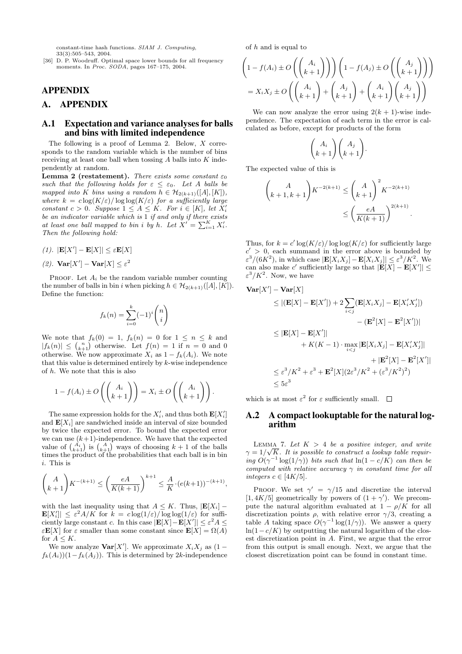constant-time hash functions. SIAM J. Computing, 33(3):505–543, 2004.

[36] D. P. Woodruff. Optimal space lower bounds for all frequency moments. In Proc. SODA, pages 167–175, 2004.

## APPENDIX

## A. APPENDIX

#### A.1 Expectation and variance analyses for balls and bins with limited independence

The following is a proof of Lemma 2. Below, X corresponds to the random variable which is the number of bins receiving at least one ball when tossing  $A$  balls into  $K$  independently at random.

**Lemma 2 (restatement).** There exists some constant  $\varepsilon_0$ such that the following holds for  $\varepsilon \leq \varepsilon_0$ . Let A balls be mapped into K bins using a random  $h \in \mathcal{H}_{2(k+1)}([A],[K]),$ where  $k = c \log(K/\varepsilon) / \log \log(K/\varepsilon)$  for a sufficiently large constant  $c > 0$ . Suppose  $1 \leq A \leq K$ . For  $i \in [K]$ , let  $X_i'$ be an indicator variable which is 1 if and only if there exists at least one ball mapped to bin i by h. Let  $X' = \sum_{i=1}^K X'_i$ . Then the following hold:

- (1).  $|\mathbf{E}[X'] \mathbf{E}[X]| \leq \varepsilon \mathbf{E}[X]$
- (2).  $\mathbf{Var}[X'] \mathbf{Var}[X] \leq \varepsilon^2$

PROOF. Let  $A_i$  be the random variable number counting the number of balls in bin i when picking  $h \in \mathcal{H}_{2(k+1)}([A],[K])$ . Define the function:

$$
f_k(n) = \sum_{i=0}^k (-1)^i \binom{n}{i}
$$

We note that  $f_k(0) = 1$ ,  $f_k(n) = 0$  for  $1 \leq n \leq k$  and  $|f_k(n)| \leq {n \choose k+1}$  otherwise. Let  $f(n) = 1$  if  $n = 0$  and 0 otherwise. We now approximate  $X_i$  as  $1 - f_k(A_i)$ . We note that this value is determined entirely by  $k$ -wise independence of h. We note that this is also

$$
1 - f(A_i) \pm O\left(\binom{A_i}{k+1}\right) = X_i \pm O\left(\binom{A_i}{k+1}\right).
$$

The same expression holds for the  $X'_i$ , and thus both  $\mathbf{E}[X'_i]$ and  $\mathbf{E}[X_i]$  are sandwiched inside an interval of size bounded by twice the expected error. To bound the expected error we can use  $(k+1)$ -independence. We have that the expected value of  $\binom{A_i}{k+1}$  is  $\binom{A}{k+1}$  ways of choosing  $k+1$  of the balls times the product of the probabilities that each ball is in bin i. This is

$$
\binom{A}{k+1} K^{-(k+1)} \le \left(\frac{eA}{K(k+1)}\right)^{k+1} \le \frac{A}{K} \cdot (e(k+1))^{-(k+1)},
$$

with the last inequality using that  $A \leq K$ . Thus,  $|\mathbf{E}[X_i]$  –  $\mathbf{E}[X'_i] \leq \varepsilon^2 A/K$  for  $k = c \log(1/\varepsilon) / \log \log(1/\varepsilon)$  for sufficiently large constant c. In this case  $|\mathbf{E}[X] - \mathbf{E}[X']| \le \varepsilon^2 A \le$  $\varepsilon \mathbf{E}[X]$  for  $\varepsilon$  smaller than some constant since  $\mathbf{E}[X] = \Omega(A)$ for  $A \leq K$ .

We now analyze **Var**[X']. We approximate  $X_i X_j$  as  $(1$  $f_k(A_i)(1-f_k(A_j))$ . This is determined by 2k-independence of  $h$  and is equal to

$$
\left(1 - f(A_i) \pm O\left(\binom{A_i}{k+1}\right)\right) \left(1 - f(A_j) \pm O\left(\binom{A_j}{k+1}\right)\right)
$$

$$
= X_i X_j \pm O\left(\binom{A_i}{k+1} + \binom{A_j}{k+1} + \binom{A_i}{k+1} \binom{A_j}{k+1}\right)
$$

We can now analyze the error using  $2(k + 1)$ -wise independence. The expectation of each term in the error is calculated as before, except for products of the form

$$
\binom{A_i}{k+1}\binom{A_j}{k+1}.
$$

The expected value of this is

$$
\binom{A}{k+1, k+1} K^{-2(k+1)} \le \binom{A}{k+1}^2 K^{-2(k+1)}
$$

$$
\le \left(\frac{eA}{K(k+1)}\right)^{2(k+1)}.
$$

Thus, for  $k = c' \log(K/\varepsilon) / \log \log(K/\varepsilon)$  for sufficiently large  $c' > 0$ , each summand in the error above is bounded by  $\varepsilon^3/(6K^2)$ , in which case  $|\mathbf{E}[X_i X_j] - \mathbf{E}[X_i X_j]| \leq \varepsilon^3/K^2$ . We can also make c' sufficiently large so that  $|\mathbf{E}[X] - \mathbf{E}[X']| \leq$  $\varepsilon^3/K^2$ . Now, we have

$$
\begin{aligned}\n\textbf{Var}[X'] - \textbf{Var}[X] &\leq |(\mathbf{E}[X] - \mathbf{E}[X']) + 2\sum_{i < j} (\mathbf{E}[X_i X_j] - \mathbf{E}[X_i' X_j']) \\
&\leq |\mathbf{E}[X] - \mathbf{E}[X']| &\quad - (\mathbf{E}^2[X] - \mathbf{E}^2[X'])| \\
&\leq |\mathbf{E}[X] - \mathbf{E}[X']| &\quad + K(K - 1) \cdot \max_{i < j} |\mathbf{E}[X_i X_j] - \mathbf{E}[X_i' X_j']| \\
&\leq \varepsilon^3 / K^2 + \varepsilon^3 + \mathbf{E}^2[X](2\varepsilon^3 / K^2 + (\varepsilon^3 / K^2)^2) \\
&\leq 5\varepsilon^3\n\end{aligned}
$$

which is at most  $\varepsilon^2$  for  $\varepsilon$  sufficiently small.

#### A.2 A compact lookuptable for the natural logarithm

LEMMA 7. Let  $K > 4$  be a positive integer, and write  $\gamma = 1/\sqrt{K}$ . It is possible to construct a lookup table requiring  $O(\gamma^{-1} \log(1/\gamma))$  bits such that  $\ln(1 - c/K)$  can then be computed with relative accuracy  $\gamma$  in constant time for all integers  $c \in [4K/5]$ .

PROOF. We set  $\gamma' = \gamma/15$  and discretize the interval [1, 4K/5] geometrically by powers of  $(1 + \gamma')$ . We precompute the natural algorithm evaluated at  $1 - \rho/K$  for all discretization points  $\rho$ , with relative error  $\gamma/3$ , creating a table A taking space  $O(\gamma^{-1} \log(1/\gamma))$ . We answer a query  $ln(1-c/K)$  by outputting the natural logarithm of the closest discretization point in A. First, we argue that the error from this output is small enough. Next, we argue that the closest discretization point can be found in constant time.